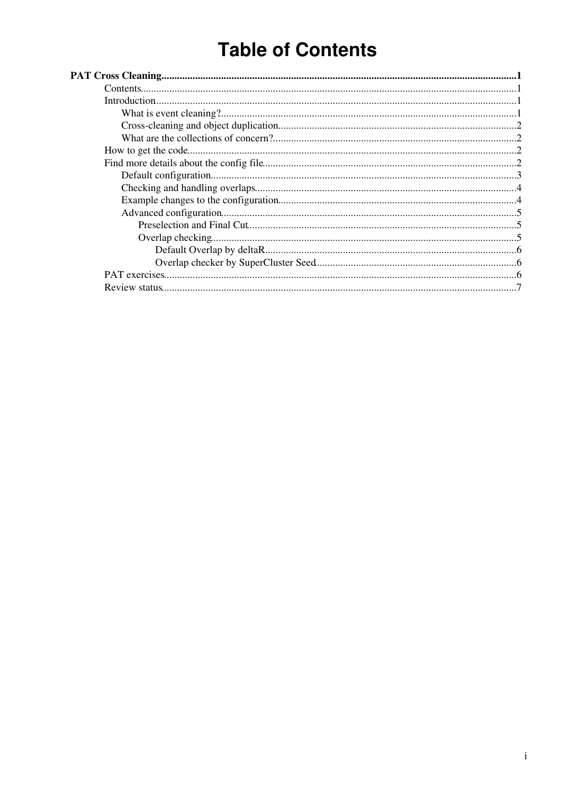# **Table of Contents**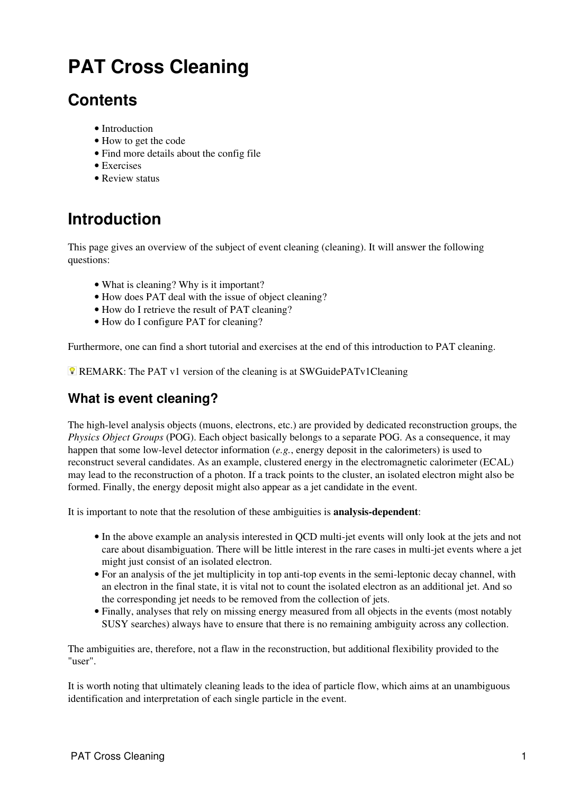# <span id="page-1-0"></span>**PAT Cross Cleaning**

## <span id="page-1-1"></span>**Contents**

- Introduction
- How to get the code
- Find more details about the config file
- Exercises
- Review status

# <span id="page-1-2"></span>**Introduction**

This page gives an overview of the subject of event cleaning (cleaning). It will answer the following questions:

- What is cleaning? Why is it important?
- How does PAT deal with the issue of object cleaning?
- How do I retrieve the result of PAT cleaning?
- How do I configure PAT for cleaning?

Furthermore, one can find a short tutorial and exercises at the end of this introduction to PAT cleaning.

**REMARK:** The PAT v1 version of the cleaning is at [SWGuidePATv1Cleaning](https://twiki.cern.ch/twiki/bin/view/CMSPublic/SWGuidePATv1Cleaning)

### <span id="page-1-3"></span>**What is event cleaning?**

The high-level analysis objects (muons, electrons, etc.) are provided by dedicated reconstruction groups, the *Physics Object Groups* (POG). Each object basically belongs to a separate POG. As a consequence, it may happen that some low-level detector information (*e.g.*, energy deposit in the calorimeters) is used to reconstruct several candidates. As an example, clustered energy in the electromagnetic calorimeter (ECAL) may lead to the reconstruction of a photon. If a track points to the cluster, an isolated electron might also be formed. Finally, the energy deposit might also appear as a jet candidate in the event.

It is important to note that the resolution of these ambiguities is **analysis-dependent**:

- In the above example an analysis interested in QCD multi-jet events will only look at the jets and not care about disambiguation. There will be little interest in the rare cases in multi-jet events where a jet might just consist of an isolated electron.
- For an analysis of the jet multiplicity in top anti-top events in the semi-leptonic decay channel, with an electron in the final state, it is vital not to count the isolated electron as an additional jet. And so the corresponding jet needs to be removed from the collection of jets.
- Finally, analyses that rely on missing energy measured from all objects in the events (most notably [SUSY](https://twiki.cern.ch/twiki/bin/view/CMSPublic/SUSY) searches) always have to ensure that there is no remaining ambiguity across any collection.

The ambiguities are, therefore, not a flaw in the reconstruction, but additional flexibility provided to the "user".

It is worth noting that ultimately cleaning leads to the idea of particle flow, which aims at an unambiguous identification and interpretation of each single particle in the event.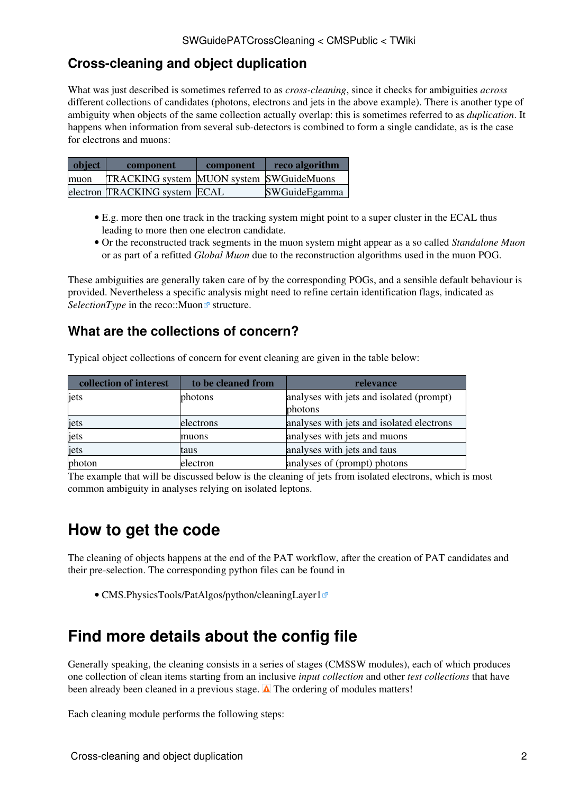### <span id="page-2-0"></span>**Cross-cleaning and object duplication**

What was just described is sometimes referred to as *cross-cleaning*, since it checks for ambiguities *across* different collections of candidates (photons, electrons and jets in the above example). There is another type of ambiguity when objects of the same collection actually overlap: this is sometimes referred to as *duplication*. It happens when information from several sub-detectors is combined to form a single candidate, as is the case for electrons and muons:

| object | component                                       | component | reco algorithm |
|--------|-------------------------------------------------|-----------|----------------|
| muon   | <b>TRACKING</b> system MUON system SWGuideMuons |           |                |
|        | electron TRACKING system ECAL                   |           | SWGuideEgamma  |

- E.g. more then one track in the tracking system might point to a super cluster in the ECAL thus leading to more then one electron candidate.
- Or the reconstructed track segments in the muon system might appear as a so called *Standalone Muon* or as part of a refitted *Global Muon* due to the reconstruction algorithms used in the muon POG.

These ambiguities are generally taken care of by the corresponding POGs, and a sensible default behaviour is provided. Nevertheless a specific analysis might need to refine certain identification flags, indicated as *SelectionType* in the reco::Muon<sup>2</sup> structure.

### <span id="page-2-1"></span>**What are the collections of concern?**

| collection of interest | to be cleaned from | relevance                                 |
|------------------------|--------------------|-------------------------------------------|
| jets                   | photons            | analyses with jets and isolated (prompt)  |
|                        |                    | photons                                   |
| jets                   | electrons          | analyses with jets and isolated electrons |
| jets                   | muons              | analyses with jets and muons              |
| jets                   | taus               | analyses with jets and taus               |
| photon                 | electron           | analyses of (prompt) photons              |

Typical object collections of concern for event cleaning are given in the table below:

The example that will be discussed below is the cleaning of jets from isolated electrons, which is most common ambiguity in analyses relying on isolated leptons.

# <span id="page-2-2"></span>**How to get the code**

The cleaning of objects happens at the end of the [PAT workflow](https://twiki.cern.ch/twiki/bin/view/CMSPublic/WorkBookPATWorkflow#FigPatObjects), after the creation of PAT candidates and their pre-selection. The corresponding python files can be found in

• CMS. Physics Tools/PatAlgos/python/cleaningLayer1<sup></sup>

## <span id="page-2-3"></span>**Find more details about the config file**

Generally speaking, the cleaning consists in a series of stages (CMSSW modules), each of which produces one collection of clean items starting from an inclusive *input collection* and other *test collections* that have been already been cleaned in a previous stage.  $\triangle$  The ordering of modules matters!

Each cleaning module performs the following steps: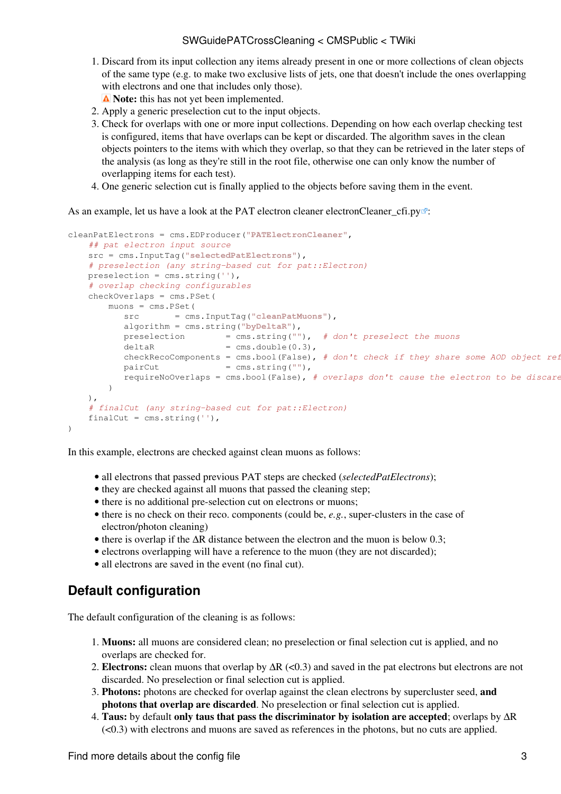#### SWGuidePATCrossCleaning < CMSPublic < TWiki

1. Discard from its input collection any items already present in one or more collections of clean objects of the same type (e.g. to make two exclusive lists of jets, one that doesn't include the ones overlapping with electrons and one that includes only those).

 $\triangle$  Note: this has not yet been implemented.

- 2. Apply a generic preselection cut to the input objects.
- 3. Check for overlaps with one or more input collections. Depending on how each overlap checking test is configured, items that have overlaps can be kept or discarded. The algorithm saves in the clean objects pointers to the items with which they overlap, so that they can be retrieved in the later steps of the analysis (as long as they're still in the root file, otherwise one can only know the number of overlapping items for each test).
- 4. One generic selection cut is finally applied to the objects before saving them in the event.

As an example, let us have a look at the PAT electron cleaner electron Cleaner  $cfi.py \mathscr{D}$ :

```
cleanPatElectrons = cms.EDProducer("PATElectronCleaner",
   ## pat electron input source
    src = cms.InputTag("selectedPatElectrons"), 
   # preselection (any string-based cut for pat::Electron)
    preselection = cms.string(''),
    # overlap checking configurables
    checkOverlaps = cms.PSet(
        muons = cms.PSet(
           src = cms.InputTag("cleanPatMuons"),
           algorithm = cms.string("byDeltaR"),
           preselection = cms.string(""), # don't preselect the muons
          deltaR = cms.double(0.3),
           checkRecoComponents = cms.bool(False), # don't check if they share some AOD object ref
          pairCut = cms.string(""),
           requireNoOverlaps = cms.bool(False), # overlaps don't cause the electron to be discared
        )
    ),
   # finalCut (any string-based cut for pat::Electron)
    finalCut = cms.string(''),
)
```
In this example, electrons are checked against clean muons as follows:

- all electrons that passed previous PAT steps are checked (*selectedPatElectrons*);
- they are checked against all muons that passed the cleaning step;
- there is no additional pre-selection cut on electrons or muons;
- there is no check on their reco. components (could be, e.g., super-clusters in the case of electron/photon cleaning)
- there is overlap if the  $\Delta R$  distance between the electron and the muon is below 0.3;
- electrons overlapping will have a reference to the muon (they are not discarded);
- all electrons are saved in the event (no final cut).

### <span id="page-3-0"></span>**Default configuration**

The default configuration of the cleaning is as follows:

- **Muons:** all muons are considered clean; no preselection or final selection cut is applied, and no 1. overlaps are checked for.
- 2. Electrons: clean muons that overlap by  $\Delta R$  (<0.3) and saved in the pat electrons but electrons are not discarded. No preselection or final selection cut is applied.
- **Photons:** photons are checked for overlap against the clean electrons by supercluster seed, **and** 3. **photons that overlap are discarded**. No preselection or final selection cut is applied.
- **Taus:** by default **only taus that pass the discriminator by isolation are accepted**; overlaps by ∆R 4.  $(\leq 0.3)$  with electrons and muons are saved as references in the photons, but no cuts are applied.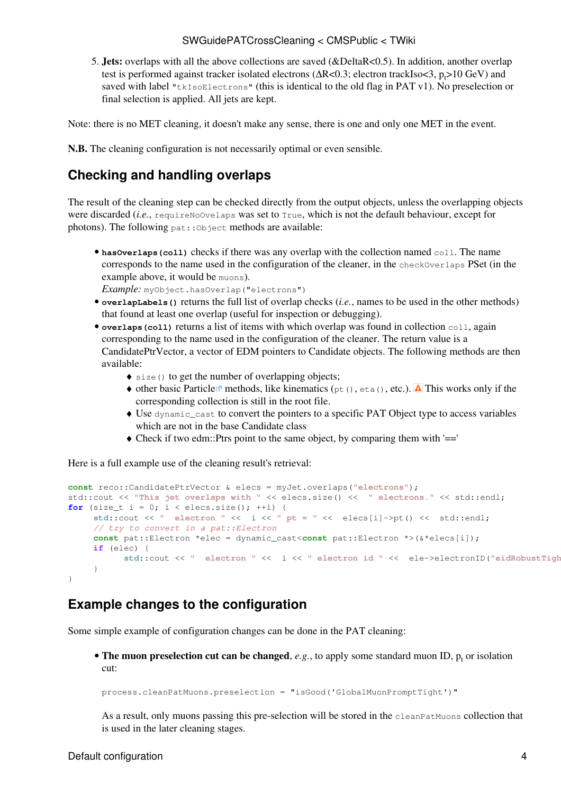#### SWGuidePATCrossCleaning < CMSPublic < TWiki

5. Jets: overlaps with all the above collections are saved (&DeltaR<0.5). In addition, another overlap test is performed against tracker isolated electrons ( $\Delta R < 0.3$ ; electron trackIso $< 3$ , p<sub>t</sub>>10 [GeV](https://twiki.cern.ch/twiki/bin/edit/CMSPublic/GeV?topicparent=CMSPublic.SWGuidePATCrossCleaning;nowysiwyg=1)) and saved with label "tkIsoElectrons" (this is identical to the old flag in PAT v1). No preselection or final selection is applied. All jets are kept.

Note: there is no MET cleaning, it doesn't make any sense, there is one and only one MET in the event.

**N.B.** The cleaning configuration is not necessarily optimal or even sensible.

### <span id="page-4-0"></span>**Checking and handling overlaps**

The result of the cleaning step can be checked directly from the output objects, unless the overlapping objects were discarded (*i.e.*, require NoOvelaps was set to True, which is not the default behaviour, except for photons). The following  $pat::\circ\phi\neq\phi$ : methods are available:

• hasOverlaps (coll) checks if there was any overlap with the collection named coll. The name corresponds to the name used in the configuration of the cleaner, in the checkOverlaps PSet (in the example above, it would be muons).

*Example:* myObject.hasOverlap("electrons")

- **overlapLabels()** returns the full list of overlap checks (*i.e.*, names to be used in the other methods) that found at least one overlap (useful for inspection or debugging).
- overlaps (coll) returns a list of items with which overlap was found in collection coll, again corresponding to the name used in the configuration of the cleaner. The return value is a CandidatePtrVector, a vector of [EDM](https://twiki.cern.ch/twiki/bin/view/CMSPublic/EDM) pointers to Candidate objects. The following methods are then available:
	- ♦ size() to get the number of overlapping objects;
	- $\bullet$  other basic Particle<sup> $\alpha$ </sup> methods, like kinematics (pt(), eta(), etc.).  $\Delta$  This works only if the corresponding collection is still in the root file.
	- Use dynamic\_cast to convert the pointers to a specific PAT Object type to access variables ♦ which are not in the base Candidate class
	- $\triangle$  Check if two edm::Ptrs point to the same object, by comparing them with '=='

Here is a full example use of the cleaning result's retrieval:

```
const reco::CandidatePtrVector & elecs = myJet.overlaps("electrons");
std::cout << "This jet overlaps with " << elecs.size() << " electrons." << std::endl;
for (size_t i = 0; i < elecs.size(); ++i) {
     std::cout << " electron " << i << " pt = " << elecs[i]->pt() << std::endl;
     // try to convert in a pat::Electron
     const pat::Electron *elec = dynamic_cast<const pat::Electron *>(&*elecs[i]);
     if (elec) {
           std::cout << " electron " << i << " electron id " << ele->electronID("eidRobustTight") << std::endl;
      }
}
```
### <span id="page-4-1"></span>**Example changes to the configuration**

Some simple example of configuration changes can be done in the PAT cleaning:

• The muon preselection cut can be changed, *e.g.*, to apply some standard [muon ID](https://twiki.cern.ch/twiki/bin/view/CMSPublic/WorkBookMuonAnalysis#MuonId),  $p_t$  or isolation cut:

process.cleanPatMuons.preselection = "isGood('GlobalMuonPromptTight')"

As a result, only muons passing this pre-selection will be stored in the cleanPatMuons collection that is used in the later cleaning stages.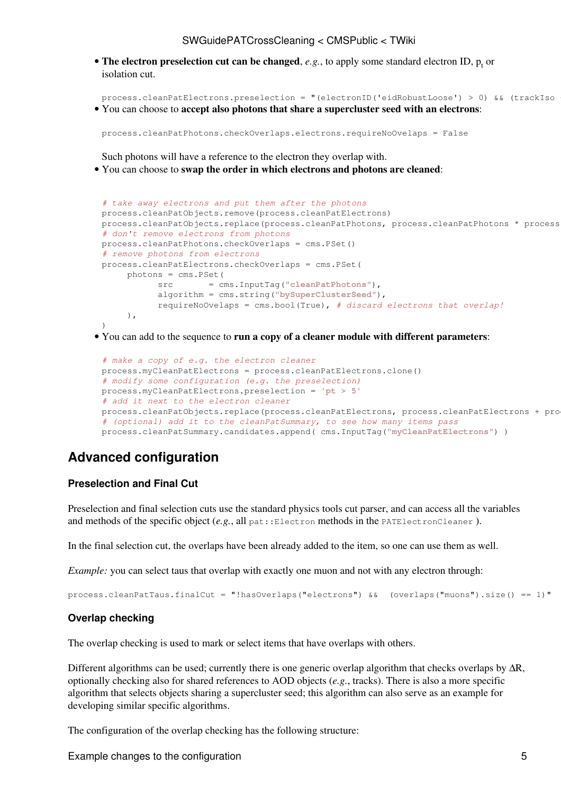#### SWGuidePATCrossCleaning < CMSPublic < TWiki

• The electron preselection cut can be changed,  $e.g.,$  to apply some standard [electron ID](https://twiki.cern.ch/twiki/bin/view/CMSPublic/SWGuideElectronID),  $p_t$  or isolation cut.

process.cleanPatElectrons.preselection = "(electronID('eidRobustLoose') > 0) && (trackIso You can choose to **accept also photons that share a supercluster seed with an electrons**: •

```
process.cleanPatPhotons.checkOverlaps.electrons.requireNoOvelaps = False
```
Such photons will have a reference to the electron they overlap with.

You can choose to **swap the order in which electrons and photons are cleaned**: •

```
# take away electrons and put them after the photons
process.cleanPatObjects.remove(process.cleanPatElectrons)
process.cleanPatObjects.replace(process.cleanPatPhotons, process.cleanPatPhotons * process
# don't remove electrons from photons
process.cleanPatPhotons.checkOverlaps = cms.PSet()
# remove photons from electrons
process.cleanPatElectrons.checkOverlaps = cms.PSet(
      photons = cms.PSet(
            src = cms.InputTag("cleanPatPhotons"),
            algorithm = cms.string("bySuperClusterSeed"),
            requireNoOvelaps = cms.bool(True), # discard electrons that overlap!
     \lambda.
)
```
You can add to the sequence to **run a copy of a cleaner module with different parameters**: •

```
# make a copy of e.g. the electron cleaner
process.myCleanPatElectrons = process.cleanPatElectrons.clone()
# modify some configuration (e.g. the preselection)
process.myCleanPatElectrons.preselection = 'pt > 5'
# add it next to the electron cleaner
process.cleanPatObjects.replace(process.cleanPatElectrons, process.cleanPatElectrons + pro
# (optional) add it to the cleanPatSummary, to see how many items pass
process.cleanPatSummary.candidates.append( cms.InputTag("myCleanPatElectrons") )
```
### <span id="page-5-0"></span>**Advanced configuration**

#### <span id="page-5-1"></span>**Preselection and Final Cut**

Preselection and final selection cuts use the standard [physics tools cut parser,](https://twiki.cern.ch/twiki/bin/view/CMSPublic/SWGuidePhysicsCutParser) and can access all the variables and methods of the specific object (*e.g.*, all pat::Electron methods in the PATElectronCleaner ).

In the final selection cut, the overlaps have been already added to the item, so one can use them as well.

*Example:* you can select taus that overlap with exactly one muon and not with any electron through:

```
process.cleanPatTaus.finalCut = "!hasOverlaps("electrons") && (overlaps("muons").size() == 1)"
```
#### <span id="page-5-2"></span>**Overlap checking**

The overlap checking is used to mark or select items that have overlaps with others.

Different algorithms can be used; currently there is one generic overlap algorithm that checks overlaps by ∆R, optionally checking also for shared references to AOD objects (*e.g.*, tracks). There is also a more specific algorithm that selects objects sharing a supercluster seed; this algorithm can also serve as an example for developing similar specific algorithms.

The configuration of the overlap checking has the following structure:

Example changes to the configuration 5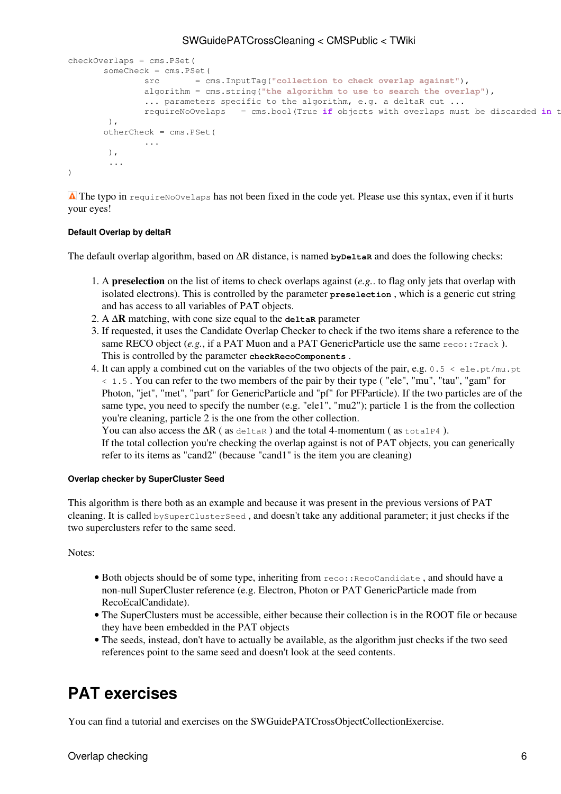```
checkOverlaps = cms.PSet(
       someCheck = cms.PSet(
               src = cms.InputTag("collection to check overlap against"),
                algorithm = cms.string("the algorithm to use to search the overlap"),
               ... parameters specific to the algorithm, e.g. a deltaR cut ...
               requireNoOvelaps = cms.bool(True if objects with overlaps must be discarded in the
         ),
        otherCheck = cms.PSet(
                ...
         ),
         ...
\lambda
```
The typo in requireNoOvelaps has not been fixed in the code yet. Please use this syntax, even if it hurts your eyes!

#### <span id="page-6-0"></span>**Default Overlap by deltaR**

The default overlap algorithm, based on  $\Delta R$  distance, is named **byDeltaR** and does the following checks:

- 1. A **preselection** on the list of items to check overlaps against (e.g.. to flag only jets that overlap with isolated electrons). This is controlled by the parameter **preselection** , which is a generic cut string and has access to all variables of PAT objects.
- 2. A **∆R** matching, with cone size equal to the **deltaR** parameter
- 3. If requested, it uses the [Candidate Overlap Checker](https://twiki.cern.ch/twiki/bin/view/CMSPublic/WorkBookParticleCandidateUtils#OverlapChecking) to check if the two items share a reference to the same RECO object  $(e.g., if a PATH Muon and a PATH Generic Particle use the same  $reco::\text{track})$ .$ This is controlled by the parameter **checkRecoComponents** .
- 4. It can apply a combined cut on the variables of the two objects of the pair, e.g.  $0.5 < \text{ele.pt/mu.pt}$ < 1.5 . You can refer to the two members of the pair by their type ( "ele", "mu", "tau", "gam" for Photon, "jet", "met", "part" for GenericParticle and "pf" for PFParticle). If the two particles are of the same type, you need to specify the number (e.g. "ele1", "mu2"); particle 1 is the from the collection you're cleaning, particle 2 is the one from the other collection.

You can also access the  $\Delta R$  (as deltare) and the total 4-momentum (as totalP4).

If the total collection you're checking the overlap against is not of PAT objects, you can generically refer to its items as "cand2" (because "cand1" is the item you are cleaning)

#### <span id="page-6-1"></span>**Overlap checker by SuperCluster Seed**

This algorithm is there both as an example and because it was present in the previous versions of PAT cleaning. It is called bySuperClusterSeed , and doesn't take any additional parameter; it just checks if the two superclusters refer to the same seed.

Notes:

- · Both objects should be of some type, inheriting from reco:: RecoCandidate, and should have a non-null SuperCluster reference (e.g. Electron, Photon or PAT GenericParticle made from RecoEcalCandidate).
- The SuperClusters must be accessible, either because their collection is in the ROOT file or because they have been embedded in the PAT objects
- The seeds, instead, don't have to actually be available, as the algorithm just checks if the two seed references point to the same seed and doesn't look at the seed contents.

### <span id="page-6-2"></span>**PAT exercises**

You can find a tutorial and exercises on the [SWGuidePATCrossObjectCollectionExercise](https://twiki.cern.ch/twiki/bin/view/CMSPublic/SWGuidePATCrossObjectCollectionExercise).